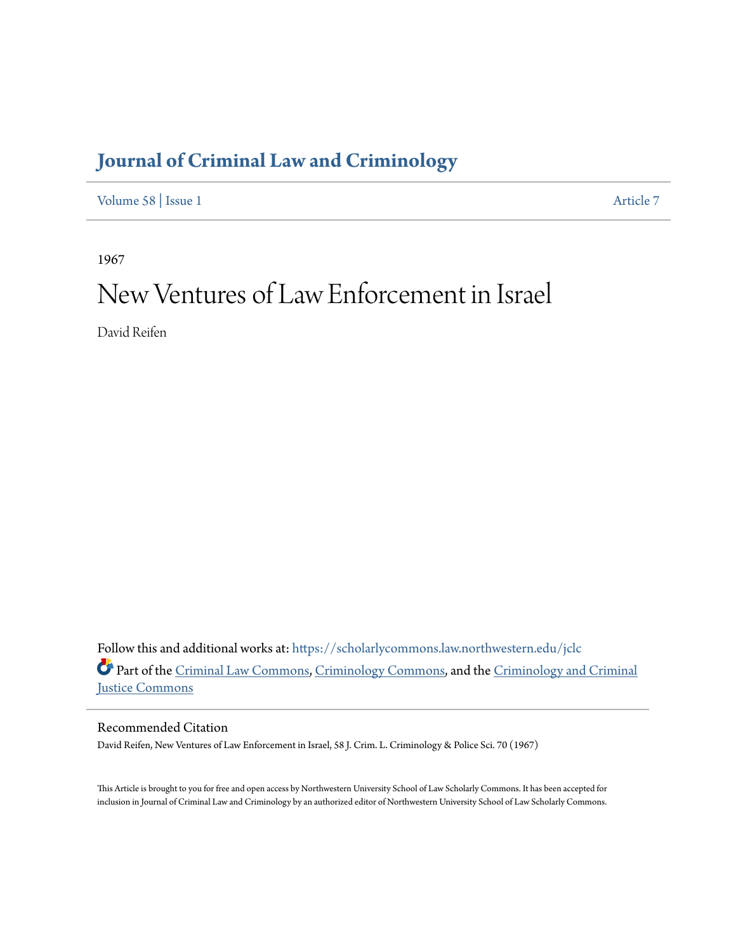# **[Journal of Criminal Law and Criminology](https://scholarlycommons.law.northwestern.edu/jclc?utm_source=scholarlycommons.law.northwestern.edu%2Fjclc%2Fvol58%2Fiss1%2F7&utm_medium=PDF&utm_campaign=PDFCoverPages)**

[Volume 58](https://scholarlycommons.law.northwestern.edu/jclc/vol58?utm_source=scholarlycommons.law.northwestern.edu%2Fjclc%2Fvol58%2Fiss1%2F7&utm_medium=PDF&utm_campaign=PDFCoverPages) | [Issue 1](https://scholarlycommons.law.northwestern.edu/jclc/vol58/iss1?utm_source=scholarlycommons.law.northwestern.edu%2Fjclc%2Fvol58%2Fiss1%2F7&utm_medium=PDF&utm_campaign=PDFCoverPages) [Article 7](https://scholarlycommons.law.northwestern.edu/jclc/vol58/iss1/7?utm_source=scholarlycommons.law.northwestern.edu%2Fjclc%2Fvol58%2Fiss1%2F7&utm_medium=PDF&utm_campaign=PDFCoverPages)

1967

# New Ventures of Law Enforcement in Israel

David Reifen

Follow this and additional works at: [https://scholarlycommons.law.northwestern.edu/jclc](https://scholarlycommons.law.northwestern.edu/jclc?utm_source=scholarlycommons.law.northwestern.edu%2Fjclc%2Fvol58%2Fiss1%2F7&utm_medium=PDF&utm_campaign=PDFCoverPages) Part of the [Criminal Law Commons](http://network.bepress.com/hgg/discipline/912?utm_source=scholarlycommons.law.northwestern.edu%2Fjclc%2Fvol58%2Fiss1%2F7&utm_medium=PDF&utm_campaign=PDFCoverPages), [Criminology Commons](http://network.bepress.com/hgg/discipline/417?utm_source=scholarlycommons.law.northwestern.edu%2Fjclc%2Fvol58%2Fiss1%2F7&utm_medium=PDF&utm_campaign=PDFCoverPages), and the [Criminology and Criminal](http://network.bepress.com/hgg/discipline/367?utm_source=scholarlycommons.law.northwestern.edu%2Fjclc%2Fvol58%2Fiss1%2F7&utm_medium=PDF&utm_campaign=PDFCoverPages) [Justice Commons](http://network.bepress.com/hgg/discipline/367?utm_source=scholarlycommons.law.northwestern.edu%2Fjclc%2Fvol58%2Fiss1%2F7&utm_medium=PDF&utm_campaign=PDFCoverPages)

Recommended Citation

David Reifen, New Ventures of Law Enforcement in Israel, 58 J. Crim. L. Criminology & Police Sci. 70 (1967)

This Article is brought to you for free and open access by Northwestern University School of Law Scholarly Commons. It has been accepted for inclusion in Journal of Criminal Law and Criminology by an authorized editor of Northwestern University School of Law Scholarly Commons.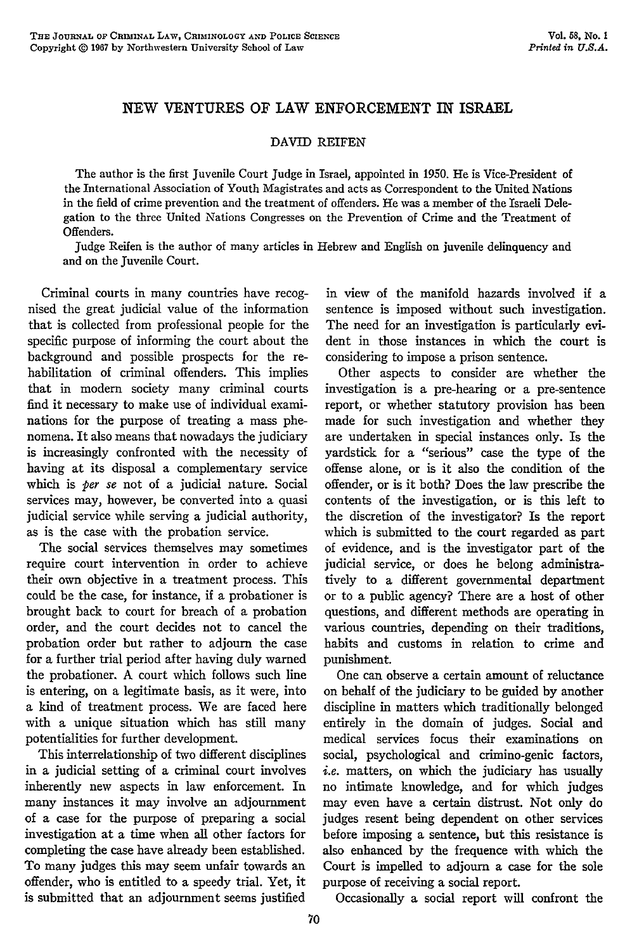# **NEW VENTURES** OF LAW **ENFORCEMENT** IN ISRAEL

#### DAVID REIFEN

The author is the first Juvenile Court Judge in Israel, appointed in 1950. He is Vice-President of the International Association of Youth Magistrates and acts as Correspondent to the United Nations in the field of crime prevention and the treatment of offenders. He was a member of the Israeli Delegation to the three United Nations Congresses on the Prevention of Crime and the Treatment of Offenders.

Judge Reifen is the author of many articles in Hebrew and English on juvenile delinquency and and on the Juvenile Court.

Criminal courts in many countries have recognised the great judicial value of the information that is collected from professional people for the specific purpose of informing the court about the background and possible prospects for the rehabilitation of criminal offenders. This implies that in modern society many criminal courts find it necessary to make use of individual examinations for the purpose of treating a mass phenomena. It also means that nowadays the judiciary is increasingly confronted with the necessity of having at its disposal a complementary service which is *per se* not of a judicial nature. Social services may, however, be converted into a quasi judicial service while serving a judicial authority, as is the case with the probation service.

The social services themselves may sometimes require court intervention in order to achieve their own objective in a treatment process. This could be the case, for instance, if a probationer is brought back to court for breach of a probation order, and the court decides not to cancel the probation order but rather to adjourn the case for a further trial period after having duly warned the probationer. A court which follows such line is entering, on a legitimate basis, as it were, into a kind of treatment process. We are faced here with a unique situation which has still many potentialities for further development.

This interrelationship of two different disciplines in a judicial setting of a criminal court involves inherently new aspects in law enforcement. In many instances it may involve an adjournment of a case for the purpose of preparing a social investigation at a time when all other factors for completing the case have already been established. To many judges this may seem unfair towards an offender, who is entitled to a speedy trial. Yet, it is submitted that an adjournment seems justified

in view of the manifold hazards involved if a sentence is imposed without such investigation. The need for an investigation is particularly evident in those instances in which the court is considering to impose a prison sentence.

Other aspects to consider are whether the investigation is a pre-hearing or a pre-sentence report, or whether statutory provision has been made for such investigation and whether they are undertaken in special instances only. Is the yardstick for a "serious" case the type of the offense alone, or is it also the condition of the offender, or is it both? Does the law prescribe the contents of the investigation, or is this left to the discretion of the investigator? Is the report which is submitted to the court regarded as part of evidence, and is the investigator part of the judicial service, or does he belong administratively to a different governmental department or to a public agency? There are a host of other questions, and different methods are operating in various countries, depending on their traditions, habits and customs in relation to crime and punishment.

One can observe a certain amount of reluctance on behalf of the judiciary to be guided by another discipline in matters which traditionally belonged entirely in the domain of judges. Social and medical services focus their examinations on social, psychological and crimino-genic factors, *i.e.* matters, on which the judiciary has usually no intimate knowledge, and for which judges may even have a certain distrust. Not only do judges resent being dependent on other services before imposing a sentence, but this resistance is also enhanced by the frequence with which the Court is impelled to adjourn a case for the sole purpose of receiving a social report.

Occasionally a social report will confront the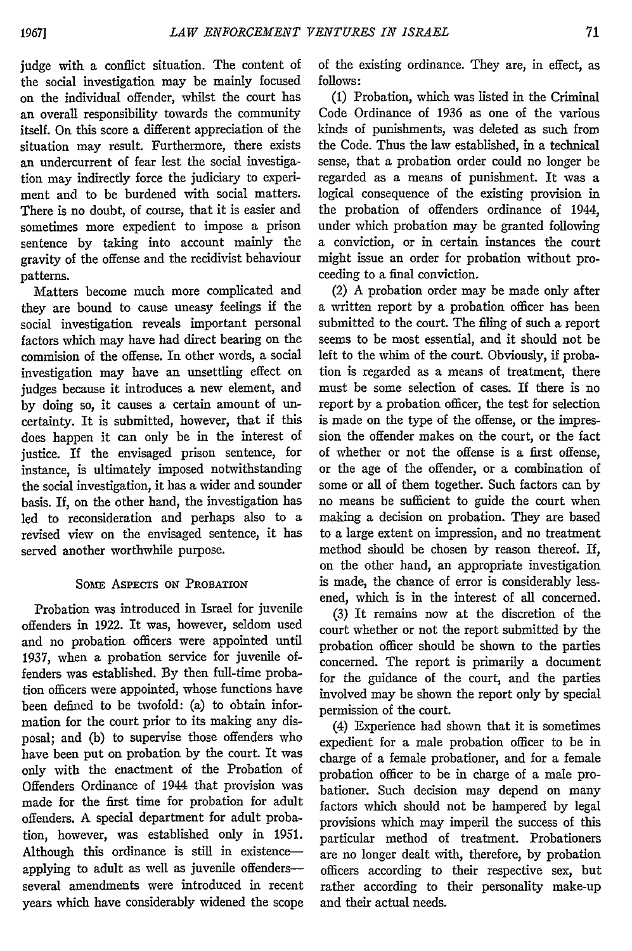judge with a conflict situation. The content of the social investigation may be mainly focused on the individual offender, whilst the court has an overall responsibility towards the community itself. On this score a different appreciation of the situation may result. Furthermore, there exists an undercurrent of fear lest the social investigation may indirectly force the judiciary to experiment and to be burdened with social matters. There is no doubt, of course, that it is easier and sometimes more expedient to impose a prison sentence by taking into account mainly the gravity of the offense and the recidivist behaviour patterns.

Matters become much more complicated and they are bound to cause uneasy feelings if the social investigation reveals important personal factors which may have had direct bearing on the commision of the offense. In other words, a social investigation may have an unsettling effect on judges because it introduces a new element, and by doing so, it causes a certain amount of uncertainty. It is submitted, however, that if this does happen it can only be in the interest of justice. If the envisaged prison sentence, for instance, is ultimately imposed notwithstanding the social investigation, it has a wider and sounder basis. If, on the other hand, the investigation has led to reconsideration and perhaps also to a revised view on the envisaged sentence, it has served another worthwhile purpose.

# SOME ASPECTS ON PROBATION

Probation was introduced in Israel for juvenile offenders in 1922. It was, however, seldom used and no probation officers were appointed until 1937, when a probation service for juvenile offenders was established. By then full-time probation officers were appointed, whose functions have been defined to be twofold: (a) to obtain information for the court prior to its making any disposal; and (b) to supervise those offenders who have been put on probation by the court. It was only with the enactment of the Probation of Offenders Ordinance of 1944 that provision was made for the first time for probation for adult offenders. A special department for adult probation, however, was established only in 1951. Although this ordinance is still in existenceapplying to adult as well as juvenile offendersseveral amendments were introduced in recent years which have considerably widened the scope of the existing ordinance. They are, in effect, as follows:

(1) Probation, which was listed in the Criminal Code Ordinance of 1936 as one of the various kinds of punishments, was deleted as such from the Code. Thus the law established, in a technical sense, that a probation order could no longer be regarded as a means of punishment. It was a logical consequence of the existing provision in the probation of offenders ordinance of 1944, under which probation may be granted following a conviction, or in certain instances the court might issue an order for probation without proceeding to a final conviction.

(2) A probation order may be made only after a written report by a probation officer has been submitted to the court. The filing of such a report seems to be most essential, and it should not be left to the whim of the court. Obviously, if probation is regarded as a means of treatment, there must be some selection of cases. If there is no report by a probation officer, the test for selection is made on the type of the offense, or the impression the offender makes on the court, or the fact of whether or not the offense is a first offense, or the age of the offender, or a combination of some or all of them together. Such factors can by no means be sufficient to guide the court when making a decision on probation. They are based to a large extent on impression, and no treatment method should be chosen by reason thereof. If, on the other hand, an appropriate investigation is made, the chance of error is considerably lessened, which is in the interest of all concerned.

(3) It remains now at the discretion of the court whether or not the report submitted by the probation officer should be shown to the parties concerned. The report is primarily a document for the guidance of the court, and the parties involved may be shown the report only by special permission of the court.

(4) Experience had shown that it is sometimes expedient for a male probation officer to be in charge of a female probationer, and for a female probation officer to be in charge of a male probationer. Such decision may depend on many factors which should not be hampered by legal provisions which may imperil the success of this particular method of treatment. Probationers are no longer dealt with, therefore, by probation officers according to their respective sex, but rather according to their personality make-up and their actual needs.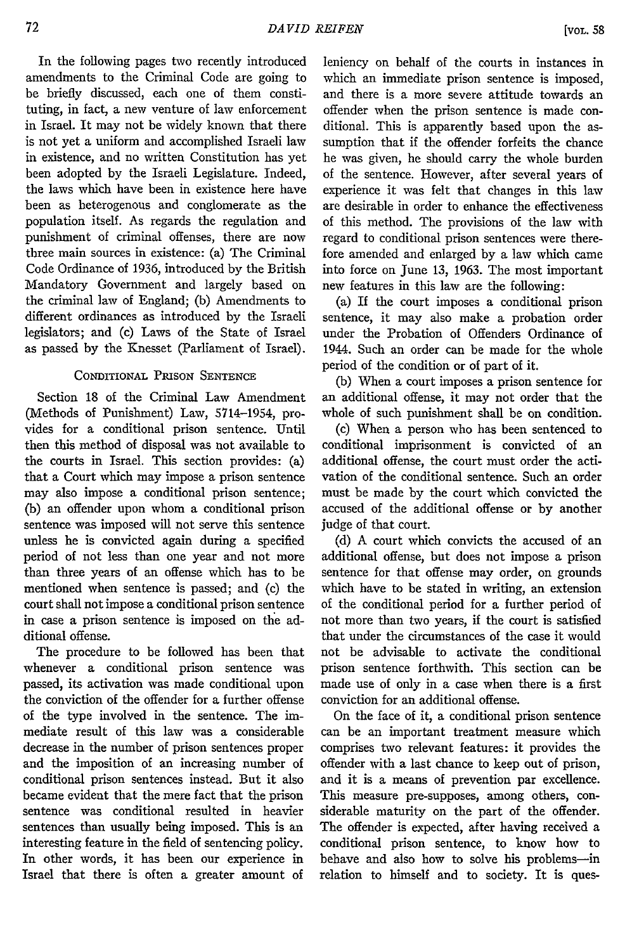In the following pages two recently introduced amendments to the Criminal Code are going to be briefly discussed, each one of them constituting, in fact, a new venture of law enforcement in Israel. It may not be widely known that there is not yet a uniform and accomplished Israeli law in existence, and no written Constitution has yet been adopted by the Israeli Legislature. Indeed, the laws which have been in existence here have been as heterogenous and conglomerate as the population itself. As regards the regulation and punishment of criminal offenses, there are now three main sources in existence: (a) The Criminal Code Ordinance of 1936, introduced by the British Mandatory Government and largely based on the criminal law of England; (b) Amendments to different ordinances as introduced by the Israeli legislators; and (c) Laws of the State of Israel as passed by the Knesset (Parliament of Israel).

### CONDITIONAL PRISON SENTENCE

Section 18 of the Criminal Law Amendment (Methods of Punishment) Law, 5714-1954, provides for a conditional prison sentence. Until then this method of disposal was not available to the courts in Israel. This section provides: (a) that a Court which may impose a prison sentence may also impose a conditional prison sentence; (b) an offender upon whom a conditional prison sentence was imposed will not serve this sentence unless he is convicted again during a specified period of not less than one year and not more than three years of an offense which has to be mentioned when sentence is passed; and (c) the court shall not impose a conditional prison sentence in case a prison sentence is imposed on the additional offense.

The procedure to be followed has been that whenever a conditional prison sentence was passed, its activation was made conditional upon the conviction of the offender for a further offense of the type involved in the sentence. The immediate result of this law was a considerable decrease in the number of prison sentences proper and the imposition of an increasing number of conditional prison sentences instead. But it also became evident that the mere fact that the prison sentence was conditional resulted in heavier sentences than usually being imposed. This is an interesting feature in the field of sentencing policy. In other words, it has been our experience in Israel that there is often a greater amount of leniency on behalf of the courts in instances in which an immediate prison sentence is imposed, and there is a more severe attitude towards an offender when the prison sentence is made conditional. This is apparently based upon the assumption that if the offender forfeits the chance he was given, he should carry the whole burden of the sentence. However, after several years of experience it was felt that changes in this law are desirable in order to enhance the effectiveness of this method. The provisions of the law with regard to conditional prison sentences were therefore amended and enlarged by a law which came into force on June 13, 1963. The most important new features in this law are the following:

(a) If the court imposes a conditional prison sentence, it may also make a probation order under the Probation of Offenders Ordinance of 1944. Such an order can be made for the whole period of the condition or of part of it.

**(b)** When a court imposes a prison sentence for an additional offense, it may not order that the whole of such punishment shall be on condition.

(c) When a person who has been sentenced to conditional imprisonment is convicted of an additional offense, the court must order the activation of the conditional sentence. Such an order must be made **by** the court which convicted the accused of the additional offense or by another judge of that court.

(d) A court which convicts the accused of an additional offense, but does not impose a prison sentence for that offense may order, on grounds which have to be stated in writing, an extension of the conditional period for a further period of not more than two years, if the court is satisfied that under the circumstances of the case it would not be advisable to activate the conditional prison sentence forthwith. This section can be made use of only in a case when there is a first conviction for an additional offense.

On the face of it, a conditional prison sentence can be an important treatment measure which comprises two relevant features: it provides the offender with a last chance to keep out of prison, and it is a means of prevention par excellence. This measure pre-supposes, among others, considerable maturity on the part of the offender. The offender is expected, after having received a conditional prison sentence, to know how to behave and also how to solve his problems-in relation to himself and to society. It is ques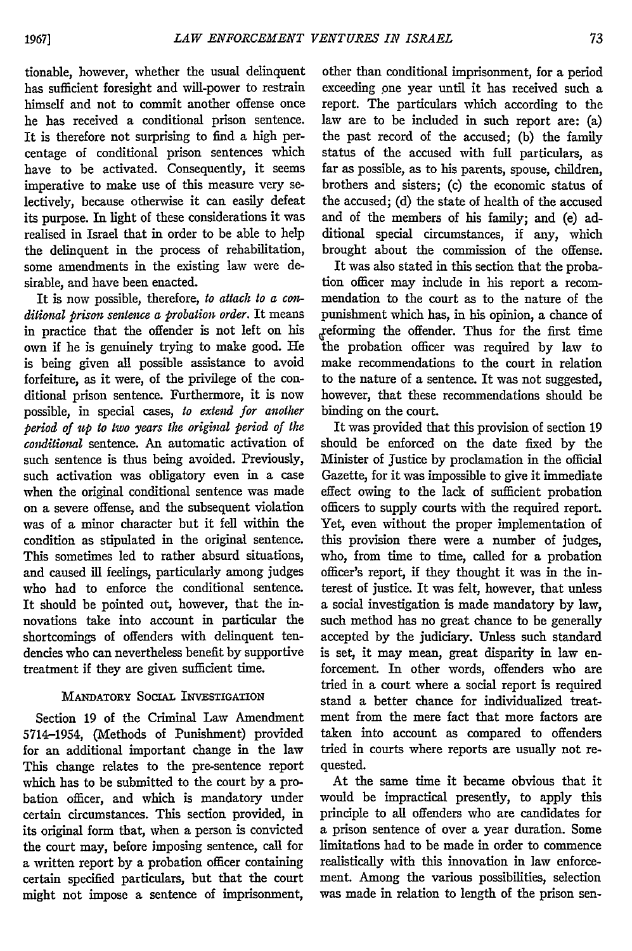tionable, however, whether the usual delinquent has sufficient foresight and will-power to restrain himself and not to commit another offense once he has received a conditional prison sentence. It is therefore not surprising to find a high percentage of conditional prison sentences which have to be activated. Consequently, it seems imperative to make use of this measure very selectively, because otherwise it can easily defeat its purpose. In light of these considerations it was realised in Israel that in order to be able to help the delinquent in the process of rehabilitation, some amendments in the existing law were desirable, and have been enacted.

It is now possible, therefore, *to attach to a conditional prisoit sentence a probation order.* It means in practice that the offender is not left on his own if he is genuinely trying to make good. He is being given all possible assistance to avoid forfeiture, as it were, of the privilege of the conditional prison sentence. Furthermore, it is now possible, in special cases, *to extend for another period of up to two years the original period of the cotitional* sentence. An automatic activation of such sentence is thus being avoided. Previously, such activation was obligatory even in a case when the original conditional sentence was made on a severe offense, and the subsequent violation was of a minor character but it fell within the condition as stipulated in the original sentence. This sometimes led to rather absurd situations, and caused ill feelings, particularly among judges who had to enforce the conditional sentence. It should be pointed out, however, that the innovations take into account in particular the shortcomings of offenders with delinquent tendencies who can nevertheless benefit by supportive treatment if they are given sufficient time.

## MANDATORY SOCIAL INVESTIGATION

Section 19 of the Criminal Law Amendment 5714-1954, (Methods of Punishment) provided for an additional important change in the law This change relates to the pre-sentence report which has to be submitted to the court by a probation officer, and which is mandatory under certain circumstances. This section provided, in its original form that, when a person is convicted the court may, before imposing sentence, call for a written report by a probation officer containing certain specified particulars, but that the court might not impose a sentence of imprisonment,

other than conditional imprisonment, for a period exceeding one year until it has received such a report. The particulars which according to the law are to be included in such report are: (a) the past record of the accused; (b) the family status of the accused with full particulars, as far as possible, as to his parents, spouse, children, brothers and sisters; (c) the economic status of the accused; (d) the state of health of the accused and of the members of his family; and (e) additional special circumstances, if any, which brought about the commission of the offense.

It was also stated in this section that the probation officer may include in his report a recommendation to the court as to the nature of the punishment which has, in his opinion, a chance of ,reforming the offender. Thus for the first time the probation officer was required by law to make recommendations to the court in relation to the nature of a sentence. It was not suggested, however, that these recommendations should be binding on the court.

It was provided that this provision of section 19 should be enforced on the date fixed by the Minister of Justice by proclamation in the official Gazette, for it was impossible to give it immediate effect owing to the lack of sufficient probation officers to supply courts with the required report. Yet, even without the proper implementation of this provision there were a number of judges, who, from time to time, called for a probation officer's report, if they thought it was in the interest of justice. It was felt, however, that unless a social investigation is made mandatory by law, such method has no great chance to be generally accepted by the judiciary. Unless such standard is set, it may mean, great disparity in law enforcement. In other words, offenders who are tried in a court where a social report is required stand a better chance for individualized treatment from the mere fact that more factors are taken into account as compared to offenders tried in courts where reports are usually not requested.

At the same time it became obvious that it would be impractical presently, to apply this principle to all offenders who are candidates for a prison sentence of over a year duration. Some limitations had to be made in order to commence realistically with this innovation in law enforcement. Among the various possibilities, selection was made in relation to length of the prison sen-